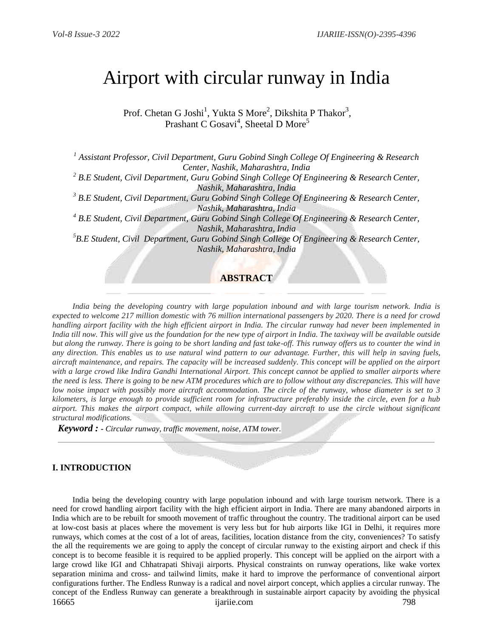# Airport with circular runway in India

Prof. Chetan G Joshi<sup>1</sup>, Yukta S More<sup>2</sup>, Dikshita P Thakor<sup>3</sup>, Prashant C Gosavi<sup>4</sup>, Sheetal D More<sup>5</sup>

*<sup>1</sup> Assistant Professor, Civil Department, Guru Gobind Singh College Of Engineering & Research Center, Nashik, Maharashtra, India*

*<sup>2</sup> B.E Student, Civil Department, Guru Gobind Singh College Of Engineering & Research Center, Nashik, Maharashtra, India*

*<sup>3</sup> B.E Student, Civil Department, Guru Gobind Singh College Of Engineering & Research Center, Nashik, Maharashtra, India*

*<sup>4</sup> B.E Student, Civil Department, Guru Gobind Singh College Of Engineering & Research Center, Nashik, Maharashtra, India*

*<sup>5</sup>B.E Student, Civil Department, Guru Gobind Singh College Of Engineering & Research Center, Nashik, Maharashtra, India*

# **ABSTRACT**

 *India being the developing country with large population inbound and with large tourism network. India is expected to welcome 217 million domestic with 76 million international passengers by 2020. There is a need for crowd handling airport facility with the high efficient airport in India. The circular runway had never been implemented in India till now. This will give us the foundation for the new type of airport in India. The taxiway will be available outside but along the runway. There is going to be short landing and fast take-off. This runway offers us to counter the wind in any direction. This enables us to use natural wind pattern to our advantage. Further, this will help in saving fuels, aircraft maintenance, and repairs. The capacity will be increased suddenly. This concept will be applied on the airport*  with a large crowd like Indira Gandhi International Airport. This concept cannot be applied to smaller airports where *the need is less. There is going to be new ATM procedures which are to follow without any discrepancies. This will have low noise impact with possibly more aircraft accommodation. The circle of the runway, whose diameter is set to 3 kilometers, is large enough to provide sufficient room for infrastructure preferably inside the circle, even for a hub airport. This makes the airport compact, while allowing current-day aircraft to use the circle without significant structural modifications.*

*Keyword : - Circular runway, traffic movement, noise, ATM tower.*

# **I. INTRODUCTION**

16665 ijariie.com 798 India being the developing country with large population inbound and with large tourism network. There is a need for crowd handling airport facility with the high efficient airport in India. There are many abandoned airports in India which are to be rebuilt for smooth movement of traffic throughout the country. The traditional airport can be used at low-cost basis at places where the movement is very less but for hub airports like IGI in Delhi, it requires more runways, which comes at the cost of a lot of areas, facilities, location distance from the city, conveniences? To satisfy the all the requirements we are going to apply the concept of circular runway to the existing airport and check if this concept is to become feasible it is required to be applied properly. This concept will be applied on the airport with a large crowd like IGI and Chhatrapati Shivaji airports. Physical constraints on runway operations, like wake vortex separation minima and cross- and tailwind limits, make it hard to improve the performance of conventional airport configurations further. The Endless Runway is a radical and novel airport concept, which applies a circular runway. The concept of the Endless Runway can generate a breakthrough in sustainable airport capacity by avoiding the physical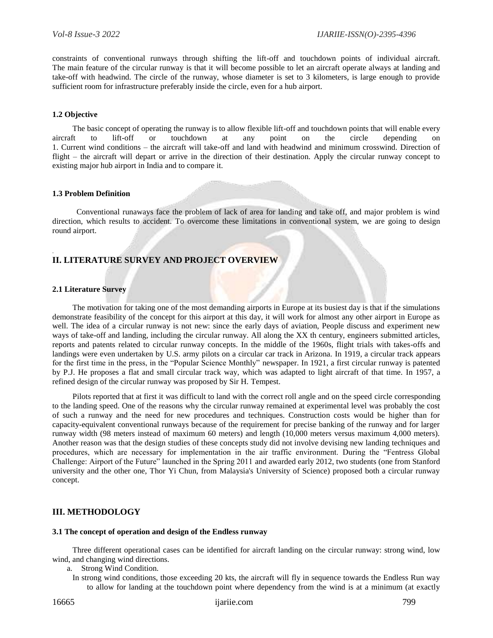constraints of conventional runways through shifting the lift-off and touchdown points of individual aircraft. The main feature of the circular runway is that it will become possible to let an aircraft operate always at landing and take-off with headwind. The circle of the runway, whose diameter is set to 3 kilometers, is large enough to provide sufficient room for infrastructure preferably inside the circle, even for a hub airport.

## **1.2 Objective**

 The basic concept of operating the runway is to allow flexible lift-off and touchdown points that will enable every aircraft to lift-off or touchdown at any point on the circle depending on 1. Current wind conditions – the aircraft will take-off and land with headwind and minimum crosswind. Direction of flight – the aircraft will depart or arrive in the direction of their destination. Apply the circular runway concept to existing major hub airport in India and to compare it.

## **1.3 Problem Definition**

 Conventional runaways face the problem of lack of area for landing and take off, and major problem is wind direction, which results to accident. To overcome these limitations in conventional system, we are going to design round airport.

# **II. LITERATURE SURVEY AND PROJECT OVERVIEW**

## **2.1 Literature Survey**

.

 The motivation for taking one of the most demanding airports in Europe at its busiest day is that if the simulations demonstrate feasibility of the concept for this airport at this day, it will work for almost any other airport in Europe as well. The idea of a circular runway is not new: since the early days of aviation, People discuss and experiment new ways of take-off and landing, including the circular runway. All along the XX th century, engineers submitted articles, reports and patents related to circular runway concepts. In the middle of the 1960s, flight trials with takes-offs and landings were even undertaken by U.S. army pilots on a circular car track in Arizona. In 1919, a circular track appears for the first time in the press, in the "Popular Science Monthly" newspaper. In 1921, a first circular runway is patented by P.J. He proposes a flat and small circular track way, which was adapted to light aircraft of that time. In 1957, a refined design of the circular runway was proposed by Sir H. Tempest.

 Pilots reported that at first it was difficult to land with the correct roll angle and on the speed circle corresponding to the landing speed. One of the reasons why the circular runway remained at experimental level was probably the cost of such a runway and the need for new procedures and techniques. Construction costs would be higher than for capacity-equivalent conventional runways because of the requirement for precise banking of the runway and for larger runway width (98 meters instead of maximum 60 meters) and length (10,000 meters versus maximum 4,000 meters). Another reason was that the design studies of these concepts study did not involve devising new landing techniques and procedures, which are necessary for implementation in the air traffic environment. During the "Fentress Global Challenge: Airport of the Future" launched in the Spring 2011 and awarded early 2012, two students (one from Stanford university and the other one, Thor Yi Chun, from Malaysia's University of Science) proposed both a circular runway concept.

# **III. METHODOLOGY**

## **3.1 The concept of operation and design of the Endless runway**

 Three different operational cases can be identified for aircraft landing on the circular runway: strong wind, low wind, and changing wind directions.

- a. Strong Wind Condition.
	- In strong wind conditions, those exceeding 20 kts, the aircraft will fly in sequence towards the Endless Run way to allow for landing at the touchdown point where dependency from the wind is at a minimum (at exactly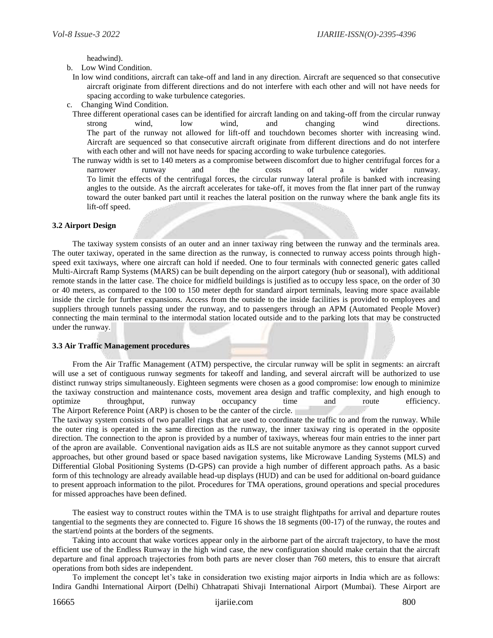headwind).

b. Low Wind Condition.

- In low wind conditions, aircraft can take-off and land in any direction. Aircraft are sequenced so that consecutive aircraft originate from different directions and do not interfere with each other and will not have needs for spacing according to wake turbulence categories.
- c. Changing Wind Condition.
	- Three different operational cases can be identified for aircraft landing on and taking-off from the circular runway strong wind, low wind, and changing wind directions. The part of the runway not allowed for lift-off and touchdown becomes shorter with increasing wind. Aircraft are sequenced so that consecutive aircraft originate from different directions and do not interfere with each other and will not have needs for spacing according to wake turbulence categories.
	- The runway width is set to 140 meters as a compromise between discomfort due to higher centrifugal forces for a narrower runway and the costs of a wider runway. To limit the effects of the centrifugal forces, the circular runway lateral profile is banked with increasing angles to the outside. As the aircraft accelerates for take-off, it moves from the flat inner part of the runway toward the outer banked part until it reaches the lateral position on the runway where the bank angle fits its lift-off speed.

## **3.2 Airport Design**

 The taxiway system consists of an outer and an inner taxiway ring between the runway and the terminals area. The outer taxiway, operated in the same direction as the runway, is connected to runway access points through highspeed exit taxiways, where one aircraft can hold if needed. One to four terminals with connected generic gates called Multi-Aircraft Ramp Systems (MARS) can be built depending on the airport category (hub or seasonal), with additional remote stands in the latter case. The choice for midfield buildings is justified as to occupy less space, on the order of 30 or 40 meters, as compared to the 100 to 150 meter depth for standard airport terminals, leaving more space available inside the circle for further expansions. Access from the outside to the inside facilities is provided to employees and suppliers through tunnels passing under the runway, and to passengers through an APM (Automated People Mover) connecting the main terminal to the intermodal station located outside and to the parking lots that may be constructed under the runway.

#### **3.3 Air Traffic Management procedures**

 From the Air Traffic Management (ATM) perspective, the circular runway will be split in segments: an aircraft will use a set of contiguous runway segments for takeoff and landing, and several aircraft will be authorized to use distinct runway strips simultaneously. Eighteen segments were chosen as a good compromise: low enough to minimize the taxiway construction and maintenance costs, movement area design and traffic complexity, and high enough to optimize throughput, runway occupancy time and route efficiency. The Airport Reference Point (ARP) is chosen to be the canter of the circle.

The taxiway system consists of two parallel rings that are used to coordinate the traffic to and from the runway. While the outer ring is operated in the same direction as the runway, the inner taxiway ring is operated in the opposite direction. The connection to the apron is provided by a number of taxiways, whereas four main entries to the inner part of the apron are available. Conventional navigation aids as ILS are not suitable anymore as they cannot support curved approaches, but other ground based or space based navigation systems, like Microwave Landing Systems (MLS) and Differential Global Positioning Systems (D-GPS) can provide a high number of different approach paths. As a basic form of this technology are already available head-up displays (HUD) and can be used for additional on-board guidance to present approach information to the pilot. Procedures for TMA operations, ground operations and special procedures for missed approaches have been defined.

 The easiest way to construct routes within the TMA is to use straight flightpaths for arrival and departure routes tangential to the segments they are connected to. Figure 16 shows the 18 segments (00-17) of the runway, the routes and the start/end points at the borders of the segments.

 Taking into account that wake vortices appear only in the airborne part of the aircraft trajectory, to have the most efficient use of the Endless Runway in the high wind case, the new configuration should make certain that the aircraft departure and final approach trajectories from both parts are never closer than 760 meters, this to ensure that aircraft operations from both sides are independent.

 To implement the concept let's take in consideration two existing major airports in India which are as follows: Indira Gandhi International Airport (Delhi) Chhatrapati Shivaji International Airport (Mumbai). These Airport are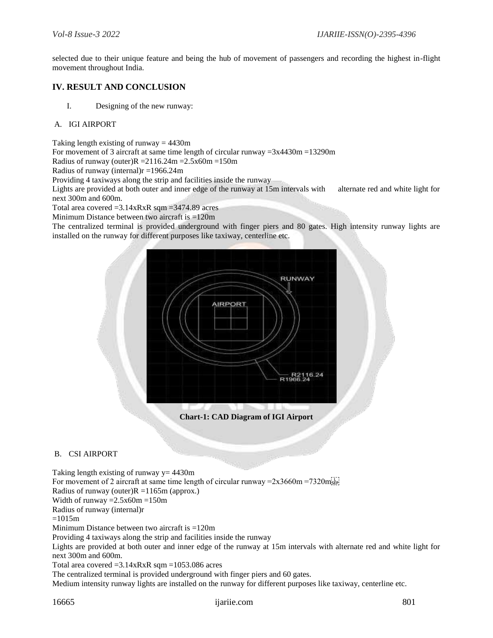selected due to their unique feature and being the hub of movement of passengers and recording the highest in-flight movement throughout India.

# **IV. RESULT AND CONCLUSION**

I. Designing of the new runway:

## A. IGI AIRPORT

Taking length existing of runway  $= 4430$ m

For movement of 3 aircraft at same time length of circular runway  $=3x4430m =13290m$ 

Radius of runway (outer) $R = 2116.24$ m = 2.5x60m = 150m

Radius of runway (internal)r =1966.24m

Providing 4 taxiways along the strip and facilities inside the runway

Lights are provided at both outer and inner edge of the runway at 15m intervals with alternate red and white light for next 300m and 600m.

Total area covered  $=3.14xRxR$  sqm  $=3474.89$  acres

Minimum Distance between two aircraft is =120m

The centralized terminal is provided underground with finger piers and 80 gates. High intensity runway lights are installed on the runway for different purposes like taxiway, centerline etc.



**Chart-1: CAD Diagram of IGI Airport**

# B. CSI AIRPORT

Taking length existing of runway  $y = 4430$ m For movement of 2 aircraft at same time length of circular runway = $2x3660m = 7320m_{s,pp}^{[1]}$ Radius of runway (outer) $R = 1165$ m (approx.) Width of runway  $=2.5x60m =150m$ Radius of runway (internal)r  $=1015m$ Minimum Distance between two aircraft is =120m Providing 4 taxiways along the strip and facilities inside the runway Lights are provided at both outer and inner edge of the runway at 15m intervals with alternate red and white light for next 300m and 600m. Total area covered =3.14xRxR sqm =1053.086 acres The centralized terminal is provided underground with finger piers and 60 gates.

Medium intensity runway lights are installed on the runway for different purposes like taxiway, centerline etc.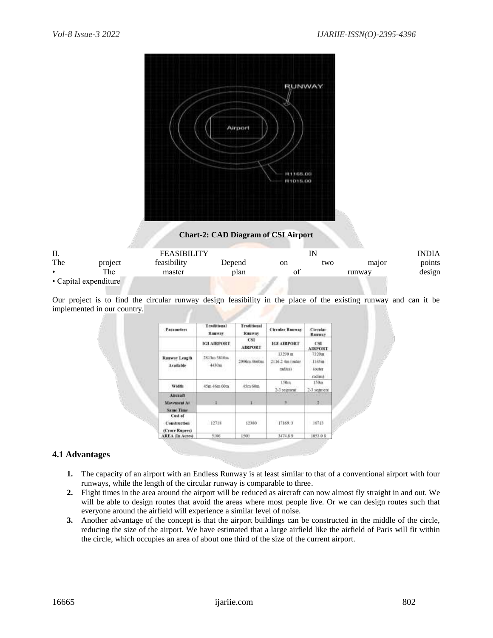

## **Chart-2: CAD Diagram of CSI Airport**

| П.  |                       | <b>FEASIBILITY</b> |        |    |     |        |        |
|-----|-----------------------|--------------------|--------|----|-----|--------|--------|
| The | project               | feasibility        | Depend | on | two | major  | points |
|     | The                   | master             | plan   |    |     | runway | design |
|     | • Capital expenditure |                    |        |    |     |        |        |

Our project is to find the circular runway design feasibility in the place of the existing runway and can it be implemented in our country.

| <b>Parameters</b>                                | <b>Traditional</b><br>Traditional<br><b>Rusway</b><br><b>Rauway</b> |                                             | <b>Circular Runway</b>                 | Circular<br>Rusway                     |  |
|--------------------------------------------------|---------------------------------------------------------------------|---------------------------------------------|----------------------------------------|----------------------------------------|--|
|                                                  | <b>IGI AIRPORT</b>                                                  | CSE<br><b>AIRPORT</b>                       | <b>IGI AIRPORT</b>                     | CSI:<br><b>AIRPORT</b>                 |  |
| <b>Ruaway Leagth</b><br>Available                | 2813m 3810m<br>4430m                                                | 2990m 3660m<br>The property of the Colorado | 13290 ш<br>2116.2 4m junter<br>cadius) | 7320ttl<br>1165m<br>touter<br>matitust |  |
| Width                                            | 45m 46m 60m                                                         | 45m 60m                                     | 150m<br>$2-3$ segment                  | 150m<br>2-3 semment                    |  |
| Aircraft<br>Mayement At<br>Same Time             |                                                                     | T.                                          | <b>CONTRACTOR</b><br>王                 | <b>POIS REGION</b><br>$-2 -$           |  |
| Cost of<br><b>Construction</b><br>(Crore Rupees) | E2718                                                               | 12380                                       | 17169.3                                | 16733                                  |  |
| <b>AREA</b> (In Acres)                           | 5106                                                                | 1500                                        | 3474.89                                | 1053.08                                |  |

# **4.1 Advantages**

- **1.** The capacity of an airport with an Endless Runway is at least similar to that of a conventional airport with four runways, while the length of the circular runway is comparable to three.
- **2.** Flight times in the area around the airport will be reduced as aircraft can now almost fly straight in and out. We will be able to design routes that avoid the areas where most people live. Or we can design routes such that everyone around the airfield will experience a similar level of noise.
- **3.** Another advantage of the concept is that the airport buildings can be constructed in the middle of the circle, reducing the size of the airport. We have estimated that a large airfield like the airfield of Paris will fit within the circle, which occupies an area of about one third of the size of the current airport.